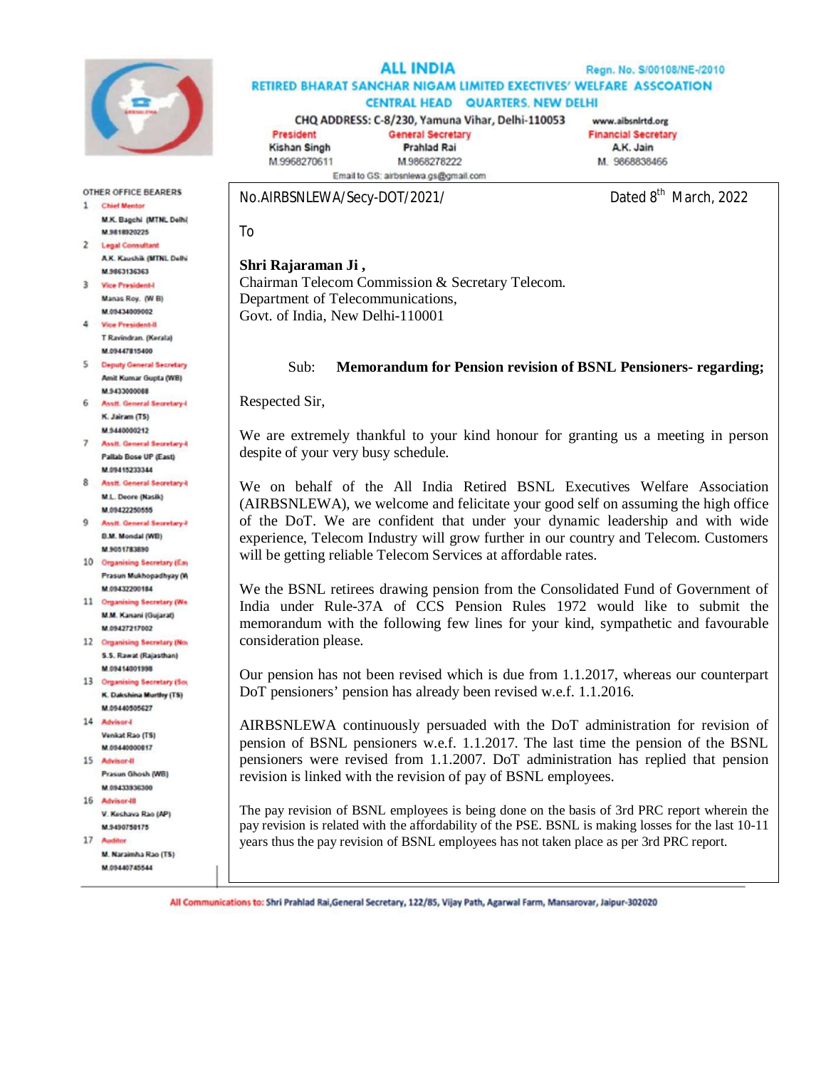

#### **ALL INDIA** Regn. No. S/00108/NE-/2010 RETIRED BHARAT SANCHAR NIGAM LIMITED EXECTIVES' WELFARE ASSCOATION **CENTRAL HEAD QUARTERS, NEW DELHI**

CHQ ADDRESS: C-8/230, Yamuna Vihar, Delhi-110053 President **General Secretary** 

www.aibsnirtd.org **Financial Secretary** A.K. Jain M. 9868838466

**Kishan Singh** M.9968270611

**Prahlad Rai** M.9868278222 Email to GS: airbsnlewa.gs@gmail.com

No.AIRBSNLEWA/Secy-DOT/2021/

Dated 8<sup>th</sup> March, 2022

To

## **Shri Rajaraman Ji ,**

Chairman Telecom Commission & Secretary Telecom. Department of Telecommunications, Govt. of India, New Delhi-110001

### Sub: **Memorandum for Pension revision of BSNL Pensioners- regarding;**

Respected Sir,

We are extremely thankful to your kind honour for granting us a meeting in person despite of your very busy schedule.

We on behalf of the All India Retired BSNL Executives Welfare Association (AIRBSNLEWA), we welcome and felicitate your good self on assuming the high office of the DoT. We are confident that under your dynamic leadership and with wide experience, Telecom Industry will grow further in our country and Telecom. Customers will be getting reliable Telecom Services at affordable rates.

We the BSNL retirees drawing pension from the Consolidated Fund of Government of India under Rule-37A of CCS Pension Rules 1972 would like to submit the memorandum with the following few lines for your kind, sympathetic and favourable consideration please.

Our pension has not been revised which is due from 1.1.2017, whereas our counterpart DoT pensioners' pension has already been revised w.e.f. 1.1.2016.

AIRBSNLEWA continuously persuaded with the DoT administration for revision of pension of BSNL pensioners w.e.f. 1.1.2017. The last time the pension of the BSNL pensioners were revised from 1.1.2007. DoT administration has replied that pension revision is linked with the revision of pay of BSNL employees.

The pay revision of BSNL employees is being done on the basis of 3rd PRC report wherein the pay revision is related with the affordability of the PSE. BSNL is making losses for the last 10-11 years thus the pay revision of BSNL employees has not taken place as per 3rd PRC report.

All Communications to: Shri Prahlad Rai, General Secretary, 122/85, Vijay Path, Agarwal Farm, Mansarovar, Jaipur-302020

**OTHER OFFICE BEARERS** 1 Chief Mentor

M.K. Bagchi (MTNL Delhi) M 9818920225 2 Legal Consultant

AK Kaushik (MTN), Delhi M.9863136363

3 Vice President-I Manas Roy, (W B) M 09434009002

4 Vice President-II T Ravindran, (Kerala) M.09447815400

5 Deputy General Secretary Amit Kumar Gupta (WB) M 9433000088

6 Asstt, General Secretary-K. Jairam (TS) M 9440000212

- 7 Asstt. General Secretary-1 Pallab Bose UP (East) M.09415233344
- 8 Annit General Secretary4 M.L. Deore (Nasik) M.09422250555
- 9 Asstt. General Secretary-F **B.M. Mondal (WB)** M.9051783890
- 10 Organising Secretary (Eas Prasun Mukhopadhyay (W) M 09432200184
- 11 Organising Secretary (We M.M. Kanani (Gujarat) M.09427217002
- 12 Organising Secretary (No. S.S. Rawat (Rajasthan) M 09414001998
- 13 Organising Secretary (So) K. Dakshina Murthy (TS) M.09440505627
- 14 Advisor-**Venkat Rao (TS)** M 09440000817
- 15 Advisor-II Prasun Ghosh (WB) M.09433335300
- 16 Advisor-III V. Kechava Rao (AP)
- M.9490758175  $17Au$
- M. Naraimha Rao (TS) M 09440745544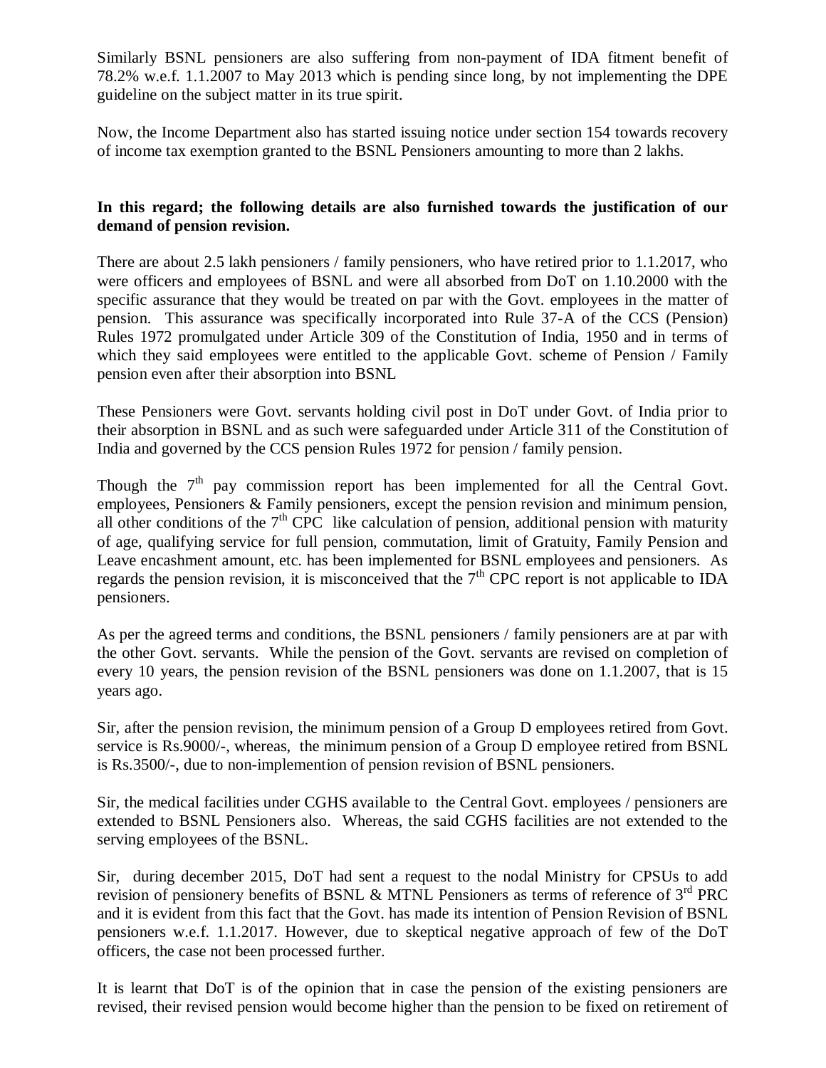Similarly BSNL pensioners are also suffering from non-payment of IDA fitment benefit of 78.2% w.e.f. 1.1.2007 to May 2013 which is pending since long, by not implementing the DPE guideline on the subject matter in its true spirit.

Now, the Income Department also has started issuing notice under section 154 towards recovery of income tax exemption granted to the BSNL Pensioners amounting to more than 2 lakhs.

## **In this regard; the following details are also furnished towards the justification of our demand of pension revision.**

There are about 2.5 lakh pensioners / family pensioners, who have retired prior to 1.1.2017, who were officers and employees of BSNL and were all absorbed from DoT on 1.10.2000 with the specific assurance that they would be treated on par with the Govt. employees in the matter of pension. This assurance was specifically incorporated into Rule 37-A of the CCS (Pension) Rules 1972 promulgated under Article 309 of the Constitution of India, 1950 and in terms of which they said employees were entitled to the applicable Govt. scheme of Pension / Family pension even after their absorption into BSNL

These Pensioners were Govt. servants holding civil post in DoT under Govt. of India prior to their absorption in BSNL and as such were safeguarded under Article 311 of the Constitution of India and governed by the CCS pension Rules 1972 for pension / family pension.

Though the  $7<sup>th</sup>$  pay commission report has been implemented for all the Central Govt. employees, Pensioners & Family pensioners, except the pension revision and minimum pension, all other conditions of the  $7<sup>th</sup>$  CPC like calculation of pension, additional pension with maturity of age, qualifying service for full pension, commutation, limit of Gratuity, Family Pension and Leave encashment amount, etc. has been implemented for BSNL employees and pensioners. As regards the pension revision, it is misconceived that the  $7<sup>th</sup>$  CPC report is not applicable to IDA pensioners.

As per the agreed terms and conditions, the BSNL pensioners / family pensioners are at par with the other Govt. servants. While the pension of the Govt. servants are revised on completion of every 10 years, the pension revision of the BSNL pensioners was done on 1.1.2007, that is 15 years ago.

Sir, after the pension revision, the minimum pension of a Group D employees retired from Govt. service is Rs.9000/-, whereas, the minimum pension of a Group D employee retired from BSNL is Rs.3500/-, due to non-implemention of pension revision of BSNL pensioners.

Sir, the medical facilities under CGHS available to the Central Govt. employees / pensioners are extended to BSNL Pensioners also. Whereas, the said CGHS facilities are not extended to the serving employees of the BSNL.

Sir, during december 2015, DoT had sent a request to the nodal Ministry for CPSUs to add revision of pensionery benefits of BSNL & MTNL Pensioners as terms of reference of  $3<sup>rd</sup> PRC$ and it is evident from this fact that the Govt. has made its intention of Pension Revision of BSNL pensioners w.e.f. 1.1.2017. However, due to skeptical negative approach of few of the DoT officers, the case not been processed further.

It is learnt that DoT is of the opinion that in case the pension of the existing pensioners are revised, their revised pension would become higher than the pension to be fixed on retirement of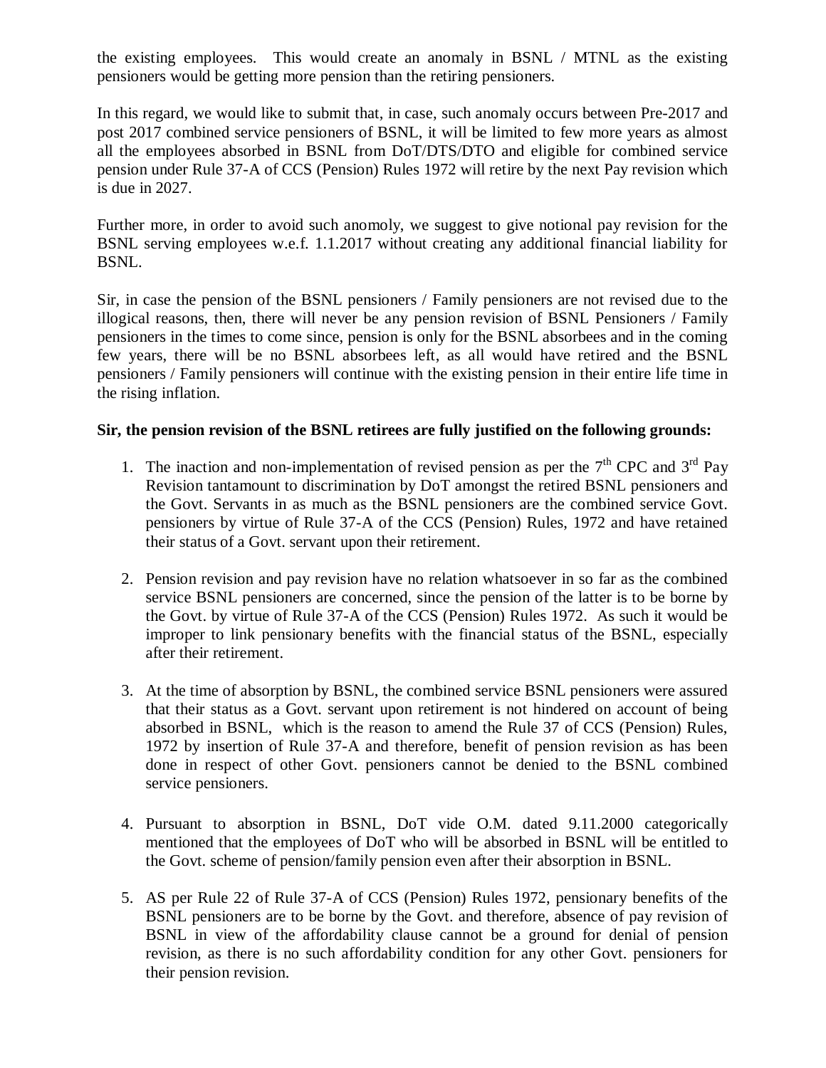the existing employees. This would create an anomaly in BSNL / MTNL as the existing pensioners would be getting more pension than the retiring pensioners.

In this regard, we would like to submit that, in case, such anomaly occurs between Pre-2017 and post 2017 combined service pensioners of BSNL, it will be limited to few more years as almost all the employees absorbed in BSNL from DoT/DTS/DTO and eligible for combined service pension under Rule 37-A of CCS (Pension) Rules 1972 will retire by the next Pay revision which is due in 2027.

Further more, in order to avoid such anomoly, we suggest to give notional pay revision for the BSNL serving employees w.e.f. 1.1.2017 without creating any additional financial liability for BSNL.

Sir, in case the pension of the BSNL pensioners / Family pensioners are not revised due to the illogical reasons, then, there will never be any pension revision of BSNL Pensioners / Family pensioners in the times to come since, pension is only for the BSNL absorbees and in the coming few years, there will be no BSNL absorbees left, as all would have retired and the BSNL pensioners / Family pensioners will continue with the existing pension in their entire life time in the rising inflation.

# **Sir, the pension revision of the BSNL retirees are fully justified on the following grounds:**

- 1. The inaction and non-implementation of revised pension as per the  $7<sup>th</sup>$  CPC and  $3<sup>rd</sup>$  Pay Revision tantamount to discrimination by DoT amongst the retired BSNL pensioners and the Govt. Servants in as much as the BSNL pensioners are the combined service Govt. pensioners by virtue of Rule 37-A of the CCS (Pension) Rules, 1972 and have retained their status of a Govt. servant upon their retirement.
- 2. Pension revision and pay revision have no relation whatsoever in so far as the combined service BSNL pensioners are concerned, since the pension of the latter is to be borne by the Govt. by virtue of Rule 37-A of the CCS (Pension) Rules 1972. As such it would be improper to link pensionary benefits with the financial status of the BSNL, especially after their retirement.
- 3. At the time of absorption by BSNL, the combined service BSNL pensioners were assured that their status as a Govt. servant upon retirement is not hindered on account of being absorbed in BSNL, which is the reason to amend the Rule 37 of CCS (Pension) Rules, 1972 by insertion of Rule 37-A and therefore, benefit of pension revision as has been done in respect of other Govt. pensioners cannot be denied to the BSNL combined service pensioners.
- 4. Pursuant to absorption in BSNL, DoT vide O.M. dated 9.11.2000 categorically mentioned that the employees of DoT who will be absorbed in BSNL will be entitled to the Govt. scheme of pension/family pension even after their absorption in BSNL.
- 5. AS per Rule 22 of Rule 37-A of CCS (Pension) Rules 1972, pensionary benefits of the BSNL pensioners are to be borne by the Govt. and therefore, absence of pay revision of BSNL in view of the affordability clause cannot be a ground for denial of pension revision, as there is no such affordability condition for any other Govt. pensioners for their pension revision.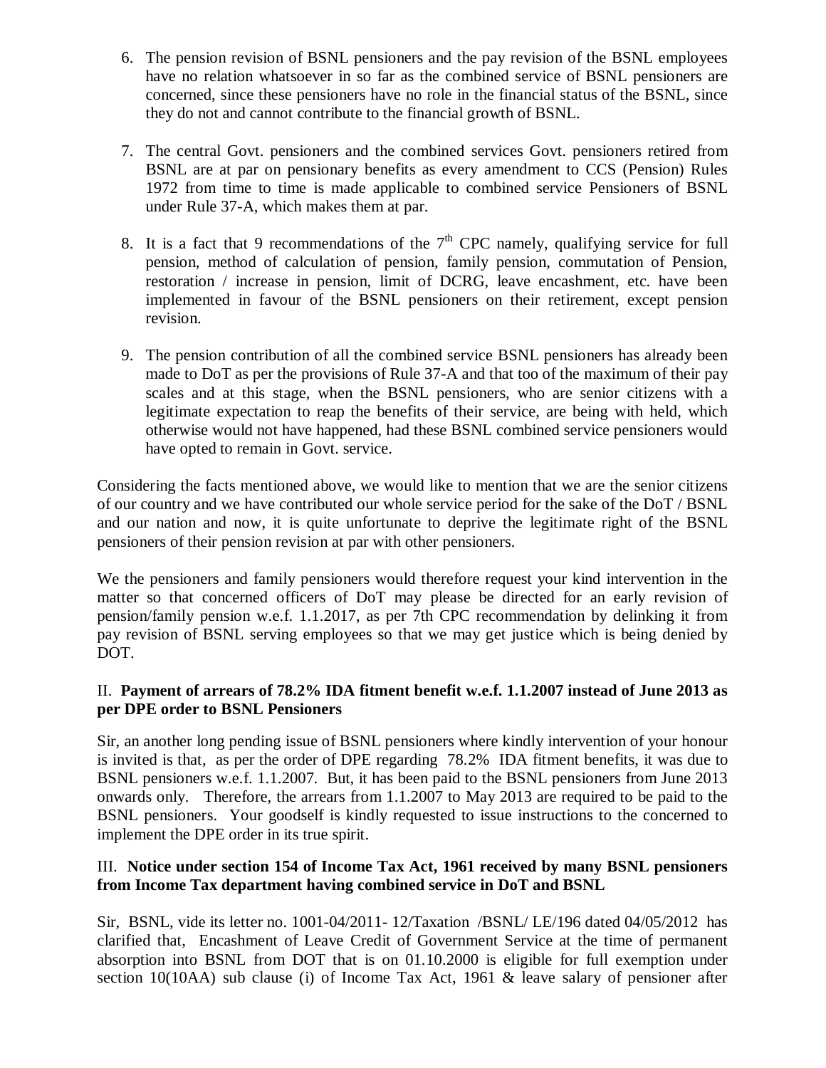- 6. The pension revision of BSNL pensioners and the pay revision of the BSNL employees have no relation whatsoever in so far as the combined service of BSNL pensioners are concerned, since these pensioners have no role in the financial status of the BSNL, since they do not and cannot contribute to the financial growth of BSNL.
- 7. The central Govt. pensioners and the combined services Govt. pensioners retired from BSNL are at par on pensionary benefits as every amendment to CCS (Pension) Rules 1972 from time to time is made applicable to combined service Pensioners of BSNL under Rule 37-A, which makes them at par.
- 8. It is a fact that 9 recommendations of the  $7<sup>th</sup>$  CPC namely, qualifying service for full pension, method of calculation of pension, family pension, commutation of Pension, restoration / increase in pension, limit of DCRG, leave encashment, etc. have been implemented in favour of the BSNL pensioners on their retirement, except pension revision.
- 9. The pension contribution of all the combined service BSNL pensioners has already been made to DoT as per the provisions of Rule 37-A and that too of the maximum of their pay scales and at this stage, when the BSNL pensioners, who are senior citizens with a legitimate expectation to reap the benefits of their service, are being with held, which otherwise would not have happened, had these BSNL combined service pensioners would have opted to remain in Govt. service.

Considering the facts mentioned above, we would like to mention that we are the senior citizens of our country and we have contributed our whole service period for the sake of the DoT / BSNL and our nation and now, it is quite unfortunate to deprive the legitimate right of the BSNL pensioners of their pension revision at par with other pensioners.

We the pensioners and family pensioners would therefore request your kind intervention in the matter so that concerned officers of DoT may please be directed for an early revision of pension/family pension w.e.f. 1.1.2017, as per 7th CPC recommendation by delinking it from pay revision of BSNL serving employees so that we may get justice which is being denied by DOT.

# II. **Payment of arrears of 78.2% IDA fitment benefit w.e.f. 1.1.2007 instead of June 2013 as per DPE order to BSNL Pensioners**

Sir, an another long pending issue of BSNL pensioners where kindly intervention of your honour is invited is that, as per the order of DPE regarding 78.2% IDA fitment benefits, it was due to BSNL pensioners w.e.f. 1.1.2007. But, it has been paid to the BSNL pensioners from June 2013 onwards only. Therefore, the arrears from 1.1.2007 to May 2013 are required to be paid to the BSNL pensioners. Your goodself is kindly requested to issue instructions to the concerned to implement the DPE order in its true spirit.

# III. **Notice under section 154 of Income Tax Act, 1961 received by many BSNL pensioners from Income Tax department having combined service in DoT and BSNL**

Sir, BSNL, vide its letter no. 1001-04/2011- 12/Taxation /BSNL/ LE/196 dated 04/05/2012 has clarified that, Encashment of Leave Credit of Government Service at the time of permanent absorption into BSNL from DOT that is on 01.10.2000 is eligible for full exemption under section 10(10AA) sub clause (i) of Income Tax Act, 1961 & leave salary of pensioner after